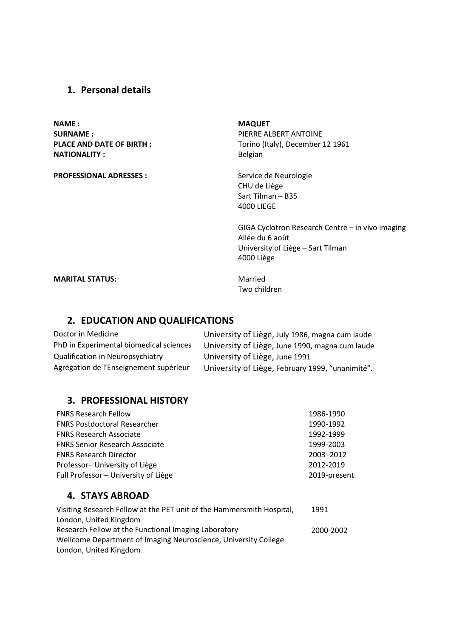## 1. Personal details

NAME : SURNAME : NATIONALITY : San Belgian Belgian

PROFESSIONAL ADRESSES : Service de Neurologie

MAQUET PIERRE ALBERT ANTOINE PLACE AND DATE OF BIRTH : Torino (Italy), December 12 1961

> CHU de Liège Sart Tilman – B35 4000 LIEGE

GIGA Cyclotron Research Centre – in vivo imaging Allée du 6 août University of Liège – Sart Tilman 4000 Liège

**MARITAL STATUS:** Married

Two children

# 2. EDUCATION AND QUALIFICATIONS

| Doctor in Medicine                      | University of Liège, July 1986, magna cum laude  |
|-----------------------------------------|--------------------------------------------------|
| PhD in Experimental biomedical sciences | University of Liège, June 1990, magna cum laude  |
| Qualification in Neuropsychiatry        | University of Liège, June 1991                   |
| Agrégation de l'Enseignement supérieur  | University of Liège, February 1999, "unanimité". |

## 3. PROFESSIONAL HISTORY

| <b>FNRS Research Fellow</b>           | 1986-1990    |
|---------------------------------------|--------------|
| <b>FNRS Postdoctoral Researcher</b>   | 1990-1992    |
| <b>FNRS Research Associate</b>        | 1992-1999    |
| <b>FNRS Senior Research Associate</b> | 1999-2003    |
| <b>FNRS Research Director</b>         | 2003-2012    |
| Professor- University of Liège        | 2012-2019    |
| Full Professor - University of Liège  | 2019-present |
|                                       |              |

## 4. STAYS ABROAD

| Visiting Research Fellow at the PET unit of the Hammersmith Hospital, | 1991      |
|-----------------------------------------------------------------------|-----------|
| London, United Kingdom                                                |           |
| Research Fellow at the Functional Imaging Laboratory                  | 2000-2002 |
| Wellcome Department of Imaging Neuroscience, University College       |           |
| London, United Kingdom                                                |           |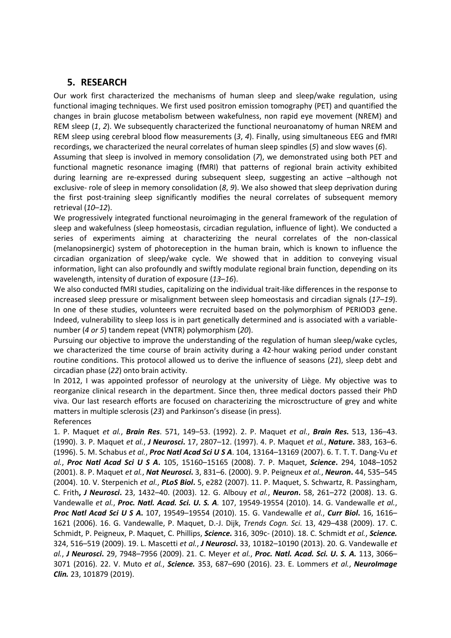## 5. RESEARCH

Our work first characterized the mechanisms of human sleep and sleep/wake regulation, using functional imaging techniques. We first used positron emission tomography (PET) and quantified the changes in brain glucose metabolism between wakefulness, non rapid eye movement (NREM) and REM sleep (1, 2). We subsequently characterized the functional neuroanatomy of human NREM and REM sleep using cerebral blood flow measurements (3, 4). Finally, using simultaneous EEG and fMRI recordings, we characterized the neural correlates of human sleep spindles (5) and slow waves (6).

Assuming that sleep is involved in memory consolidation (7), we demonstrated using both PET and functional magnetic resonance imaging (fMRI) that patterns of regional brain activity exhibited during learning are re-expressed during subsequent sleep, suggesting an active –although not exclusive- role of sleep in memory consolidation (8, 9). We also showed that sleep deprivation during the first post-training sleep significantly modifies the neural correlates of subsequent memory retrieval (10–12).

We progressively integrated functional neuroimaging in the general framework of the regulation of sleep and wakefulness (sleep homeostasis, circadian regulation, influence of light). We conducted a series of experiments aiming at characterizing the neural correlates of the non-classical (melanopsinergic) system of photoreception in the human brain, which is known to influence the circadian organization of sleep/wake cycle. We showed that in addition to conveying visual information, light can also profoundly and swiftly modulate regional brain function, depending on its wavelength, intensity of duration of exposure (13-16).

We also conducted fMRI studies, capitalizing on the individual trait-like differences in the response to increased sleep pressure or misalignment between sleep homeostasis and circadian signals (17–19). In one of these studies, volunteers were recruited based on the polymorphism of PERIOD3 gene. Indeed, vulnerability to sleep loss is in part genetically determined and is associated with a variablenumber (4 or 5) tandem repeat (VNTR) polymorphism (20).

Pursuing our objective to improve the understanding of the regulation of human sleep/wake cycles, we characterized the time course of brain activity during a 42-hour waking period under constant routine conditions. This protocol allowed us to derive the influence of seasons (21), sleep debt and circadian phase (22) onto brain activity.

In 2012, I was appointed professor of neurology at the university of Liège. My objective was to reorganize clinical research in the department. Since then, three medical doctors passed their PhD viva. Our last research efforts are focused on characterizing the microsctructure of grey and white matters in multiple sclerosis (23) and Parkinson's disease (in press). References

1. P. Maquet et al., Brain Res. 571, 149-53. (1992). 2. P. Maquet et al., Brain Res. 513, 136-43. (1990). 3. P. Maquet et al., J Neurosci. 17, 2807-12. (1997). 4. P. Maquet et al., Nature. 383, 163-6. (1996). 5. M. Schabus et al., Proc Natl Acad Sci U S A. 104, 13164-13169 (2007). 6. T. T. T. Dang-Vu et al., Proc Natl Acad Sci U S A. 105, 15160–15165 (2008). 7. P. Maquet, Science. 294, 1048–1052 (2001). 8. P. Maquet et al., Nat Neurosci. 3, 831–6. (2000). 9. P. Peigneux et al., Neuron. 44, 535–545 (2004). 10. V. Sterpenich et al., PLoS Biol. 5, e282 (2007). 11. P. Maquet, S. Schwartz, R. Passingham, C. Frith, J Neurosci. 23, 1432–40. (2003). 12. G. Albouy et al., Neuron. 58, 261–272 (2008). 13. G. Vandewalle et al., Proc. Natl. Acad. Sci. U. S. A. 107, 19549-19554 (2010). 14. G. Vandewalle et al., Proc Natl Acad Sci U S A. 107, 19549-19554 (2010). 15. G. Vandewalle et al., Curr Biol. 16, 1616-1621 (2006). 16. G. Vandewalle, P. Maquet, D.-J. Dijk, Trends Cogn. Sci. 13, 429–438 (2009). 17. C. Schmidt, P. Peigneux, P. Maquet, C. Phillips, Science. 316, 309c- (2010). 18. C. Schmidt et al., Science. 324, 516-519 (2009). 19. L. Mascetti et al., J Neurosci. 33, 10182-10190 (2013). 20. G. Vandewalle et al., J Neurosci. 29, 7948-7956 (2009). 21. C. Meyer et al., Proc. Natl. Acad. Sci. U. S. A. 113, 3066-3071 (2016). 22. V. Muto et al., Science. 353, 687-690 (2016). 23. E. Lommers et al., NeuroImage Clin. 23, 101879 (2019).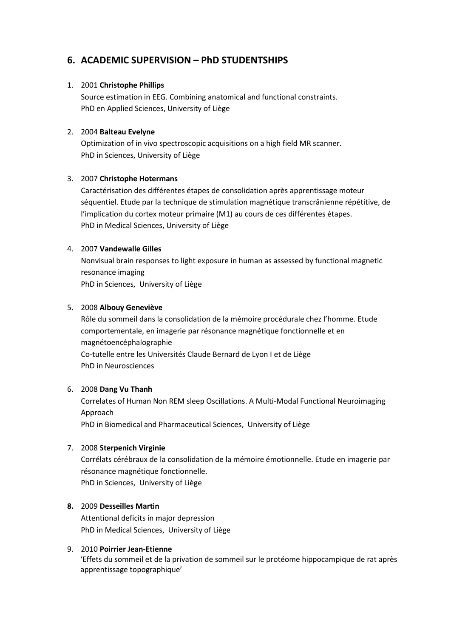# 6. ACADEMIC SUPERVISION – PhD STUDENTSHIPS

### 1. 2001 Christophe Phillips

Source estimation in EEG. Combining anatomical and functional constraints. PhD en Applied Sciences, University of Liège

### 2. 2004 Balteau Evelyne

Optimization of in vivo spectroscopic acquisitions on a high field MR scanner. PhD in Sciences, University of Liège

## 3. 2007 Christophe Hotermans

Caractérisation des différentes étapes de consolidation après apprentissage moteur séquentiel. Etude par la technique de stimulation magnétique transcrânienne répétitive, de l'implication du cortex moteur primaire (M1) au cours de ces différentes étapes. PhD in Medical Sciences, University of Liège

### 4. 2007 Vandewalle Gilles

Nonvisual brain responses to light exposure in human as assessed by functional magnetic resonance imaging PhD in Sciences, University of Liège

### 5. 2008 Albouy Geneviève

Rôle du sommeil dans la consolidation de la mémoire procédurale chez l'homme. Etude comportementale, en imagerie par résonance magnétique fonctionnelle et en magnétoencéphalographie Co-tutelle entre les Universités Claude Bernard de Lyon I et de Liège PhD in Neurosciences

## 6. 2008 Dang Vu Thanh

Correlates of Human Non REM sleep Oscillations. A Multi-Modal Functional Neuroimaging Approach

PhD in Biomedical and Pharmaceutical Sciences, University of Liège

## 7. 2008 Sterpenich Virginie

Corrélats cérébraux de la consolidation de la mémoire émotionnelle. Etude en imagerie par résonance magnétique fonctionnelle.

PhD in Sciences, University of Liège

## 8. 2009 Desseilles Martin

Attentional deficits in major depression PhD in Medical Sciences, University of Liège

## 9. 2010 Poirrier Jean-Etienne

'Effets du sommeil et de la privation de sommeil sur le protéome hippocampique de rat après apprentissage topographique'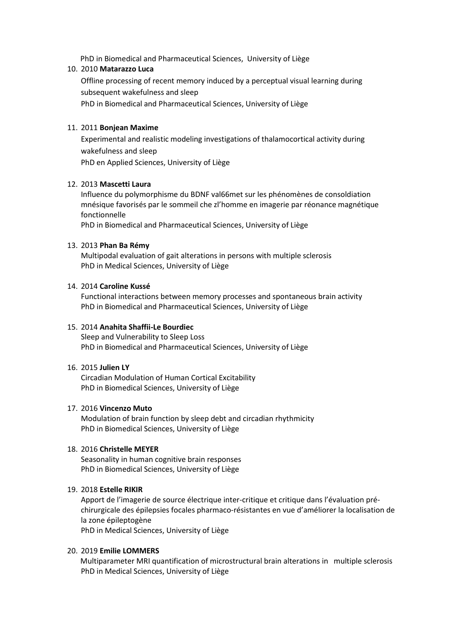PhD in Biomedical and Pharmaceutical Sciences, University of Liège

#### 10. 2010 Matarazzo Luca

Offline processing of recent memory induced by a perceptual visual learning during subsequent wakefulness and sleep

PhD in Biomedical and Pharmaceutical Sciences, University of Liège

#### 11. 2011 Bonjean Maxime

Experimental and realistic modeling investigations of thalamocortical activity during wakefulness and sleep

PhD en Applied Sciences, University of Liège

#### 12. 2013 Mascetti Laura

Influence du polymorphisme du BDNF val66met sur les phénomènes de consoldiation mnésique favorisés par le sommeil che zl'homme en imagerie par réonance magnétique fonctionnelle

PhD in Biomedical and Pharmaceutical Sciences, University of Liège

### 13. 2013 Phan Ba Rémy

Multipodal evaluation of gait alterations in persons with multiple sclerosis PhD in Medical Sciences, University of Liège

#### 14. 2014 Caroline Kussé

Functional interactions between memory processes and spontaneous brain activity PhD in Biomedical and Pharmaceutical Sciences, University of Liège

### 15. 2014 Anahita Shaffii-Le Bourdiec

Sleep and Vulnerability to Sleep Loss PhD in Biomedical and Pharmaceutical Sciences, University of Liège

#### 16. 2015 Julien LY

Circadian Modulation of Human Cortical Excitability PhD in Biomedical Sciences, University of Liège

#### 17. 2016 Vincenzo Muto

Modulation of brain function by sleep debt and circadian rhythmicity PhD in Biomedical Sciences, University of Liège

#### 18. 2016 Christelle MEYER

Seasonality in human cognitive brain responses PhD in Biomedical Sciences, University of Liège

#### 19. 2018 Estelle RIKIR

Apport de l'imagerie de source électrique inter-critique et critique dans l'évaluation préchirurgicale des épilepsies focales pharmaco-résistantes en vue d'améliorer la localisation de la zone épileptogène PhD in Medical Sciences, University of Liège

#### 20. 2019 Emilie LOMMERS

Multiparameter MRI quantification of microstructural brain alterations in multiple sclerosis PhD in Medical Sciences, University of Liège